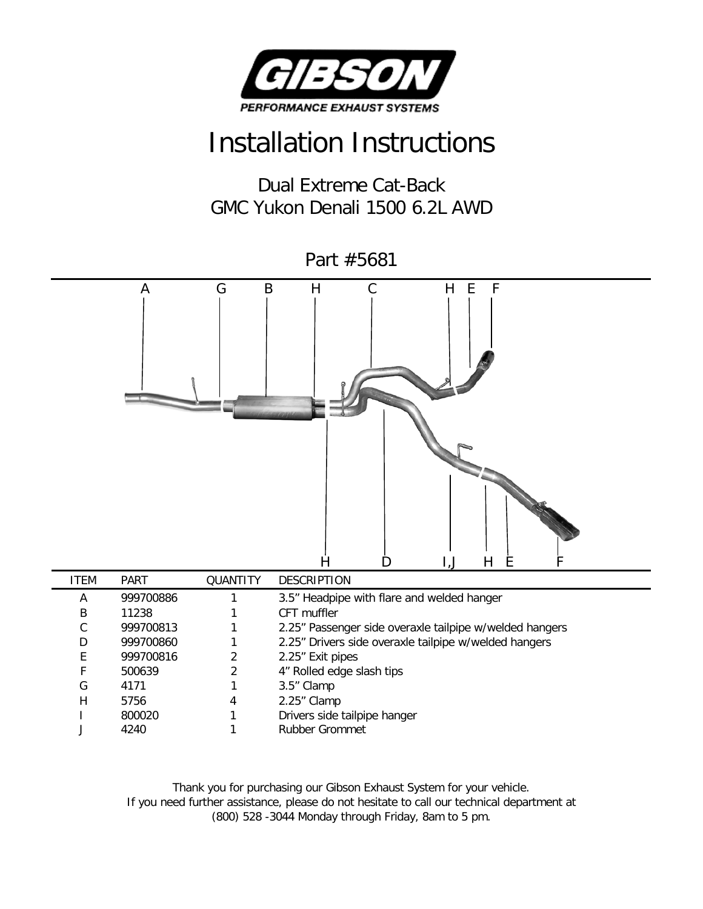

## Installation Instructions

Dual Extreme Cat-Back GMC Yukon Denali 1500 6.2L AWD

Part #5681 A G B H C H E F H D I,J H E F ITEM PART QUANTITY DESCRIPTION A 999700886 1 3.5" Headpipe with flare and welded hanger B 11238 1 CFT muffler

| В | 11238     |   | CFT muffler                                             |
|---|-----------|---|---------------------------------------------------------|
|   | 999700813 |   | 2.25" Passenger side overaxle tailpipe w/welded hangers |
| D | 999700860 |   | 2.25" Drivers side overaxle tailpipe w/welded hangers   |
|   | 999700816 |   | 2.25" Exit pipes                                        |
|   | 500639    |   | 4" Rolled edge slash tips                               |
| G | 4171      |   | 3.5" Clamp                                              |
| н | 5756      | 4 | 2.25" Clamp                                             |
|   | 800020    |   | Drivers side tailpipe hanger                            |
|   | 4240      |   | Rubber Grommet                                          |

Thank you for purchasing our Gibson Exhaust System for your vehicle. If you need further assistance, please do not hesitate to call our technical department at (800) 528 -3044 Monday through Friday, 8am to 5 pm.